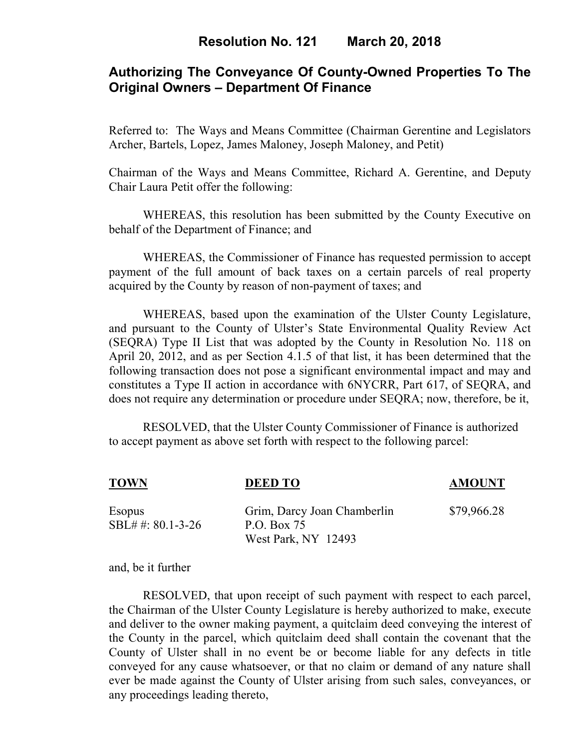# **Authorizing The Conveyance Of County-Owned Properties To The Original Owners – Department Of Finance**

Referred to: The Ways and Means Committee (Chairman Gerentine and Legislators Archer, Bartels, Lopez, James Maloney, Joseph Maloney, and Petit)

Chairman of the Ways and Means Committee, Richard A. Gerentine, and Deputy Chair Laura Petit offer the following:

WHEREAS, this resolution has been submitted by the County Executive on behalf of the Department of Finance; and

WHEREAS, the Commissioner of Finance has requested permission to accept payment of the full amount of back taxes on a certain parcels of real property acquired by the County by reason of non-payment of taxes; and

WHEREAS, based upon the examination of the Ulster County Legislature, and pursuant to the County of Ulster's State Environmental Quality Review Act (SEQRA) Type II List that was adopted by the County in Resolution No. 118 on April 20, 2012, and as per Section 4.1.5 of that list, it has been determined that the following transaction does not pose a significant environmental impact and may and constitutes a Type II action in accordance with 6NYCRR, Part 617, of SEQRA, and does not require any determination or procedure under SEQRA; now, therefore, be it,

 RESOLVED, that the Ulster County Commissioner of Finance is authorized to accept payment as above set forth with respect to the following parcel:

| <b>TOWN</b>                   | <b>DEED TO</b>                                                    | <b>AMOUNT</b> |
|-------------------------------|-------------------------------------------------------------------|---------------|
| Esopus<br>$SBL# #: 80.1-3-26$ | Grim, Darcy Joan Chamberlin<br>P.O. Box 75<br>West Park, NY 12493 | \$79,966.28   |

and, be it further

RESOLVED, that upon receipt of such payment with respect to each parcel, the Chairman of the Ulster County Legislature is hereby authorized to make, execute and deliver to the owner making payment, a quitclaim deed conveying the interest of the County in the parcel, which quitclaim deed shall contain the covenant that the County of Ulster shall in no event be or become liable for any defects in title conveyed for any cause whatsoever, or that no claim or demand of any nature shall ever be made against the County of Ulster arising from such sales, conveyances, or any proceedings leading thereto,